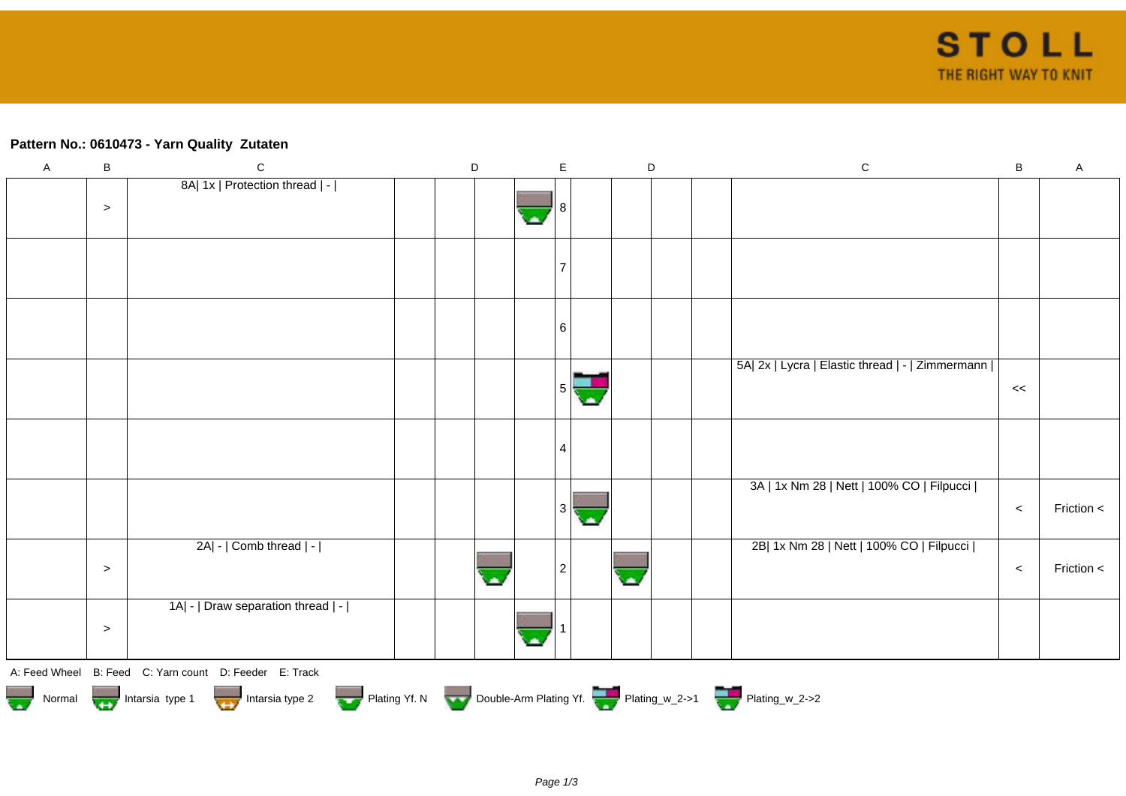## **Pattern No.: 0610473 - Yarn Quality Zutaten**

| $\mathsf A$ | B      | $\mathsf C$                                                                                  | D |  |  | E |                | $\mathsf D$ |  | $\mathsf C$                                      | $\sf B$ | $\mathsf A$ |
|-------------|--------|----------------------------------------------------------------------------------------------|---|--|--|---|----------------|-------------|--|--------------------------------------------------|---------|-------------|
|             |        | 8A  1x   Protection thread   -                                                               |   |  |  |   |                |             |  |                                                  |         |             |
|             | $\,>$  |                                                                                              |   |  |  |   |                |             |  |                                                  |         |             |
|             |        |                                                                                              |   |  |  |   |                |             |  |                                                  |         |             |
|             |        |                                                                                              |   |  |  |   |                |             |  |                                                  |         |             |
|             |        |                                                                                              |   |  |  |   |                |             |  |                                                  |         |             |
|             |        |                                                                                              |   |  |  |   |                |             |  |                                                  |         |             |
|             |        |                                                                                              |   |  |  |   |                |             |  |                                                  |         |             |
|             |        |                                                                                              |   |  |  | 6 |                |             |  |                                                  |         |             |
|             |        |                                                                                              |   |  |  |   |                |             |  |                                                  |         |             |
|             |        |                                                                                              |   |  |  |   |                |             |  | 5A  2x   Lycra   Elastic thread   -   Zimmermann |         |             |
|             |        |                                                                                              |   |  |  |   | $5\frac{1}{2}$ |             |  |                                                  | <<      |             |
|             |        |                                                                                              |   |  |  |   |                |             |  |                                                  |         |             |
|             |        |                                                                                              |   |  |  |   |                |             |  |                                                  |         |             |
|             |        |                                                                                              |   |  |  | 4 |                |             |  |                                                  |         |             |
|             |        |                                                                                              |   |  |  |   |                |             |  |                                                  |         |             |
|             |        |                                                                                              |   |  |  |   |                |             |  | 3A   1x Nm 28   Nett   100% CO   Filpucci        |         |             |
|             |        |                                                                                              |   |  |  | 3 |                |             |  |                                                  | $\prec$ | Friction <  |
|             |        |                                                                                              |   |  |  |   |                |             |  |                                                  |         |             |
|             |        | 2A  -   Comb thread   -                                                                      |   |  |  |   |                |             |  | 2B  1x Nm 28   Nett   100% CO   Filpucci         |         |             |
|             | $\geq$ |                                                                                              |   |  |  | 2 |                |             |  |                                                  | $\prec$ | Friction <  |
|             |        |                                                                                              |   |  |  |   |                |             |  |                                                  |         |             |
|             |        | 1A  -   Draw separation thread   -                                                           |   |  |  |   |                |             |  |                                                  |         |             |
|             | $\,>$  |                                                                                              |   |  |  |   |                |             |  |                                                  |         |             |
|             |        |                                                                                              |   |  |  |   |                |             |  |                                                  |         |             |
|             |        | A: Feed Wheel B: Feed C: Yarn count D: Feeder E: Track                                       |   |  |  |   |                |             |  |                                                  |         |             |
|             |        | Normal Intarsia type 1 Intarsia type 2 Plating Yf. N Double-Arm Plating Yf. 2 Plating w_2->1 |   |  |  |   |                |             |  |                                                  |         |             |
|             |        |                                                                                              |   |  |  |   |                |             |  |                                                  |         |             |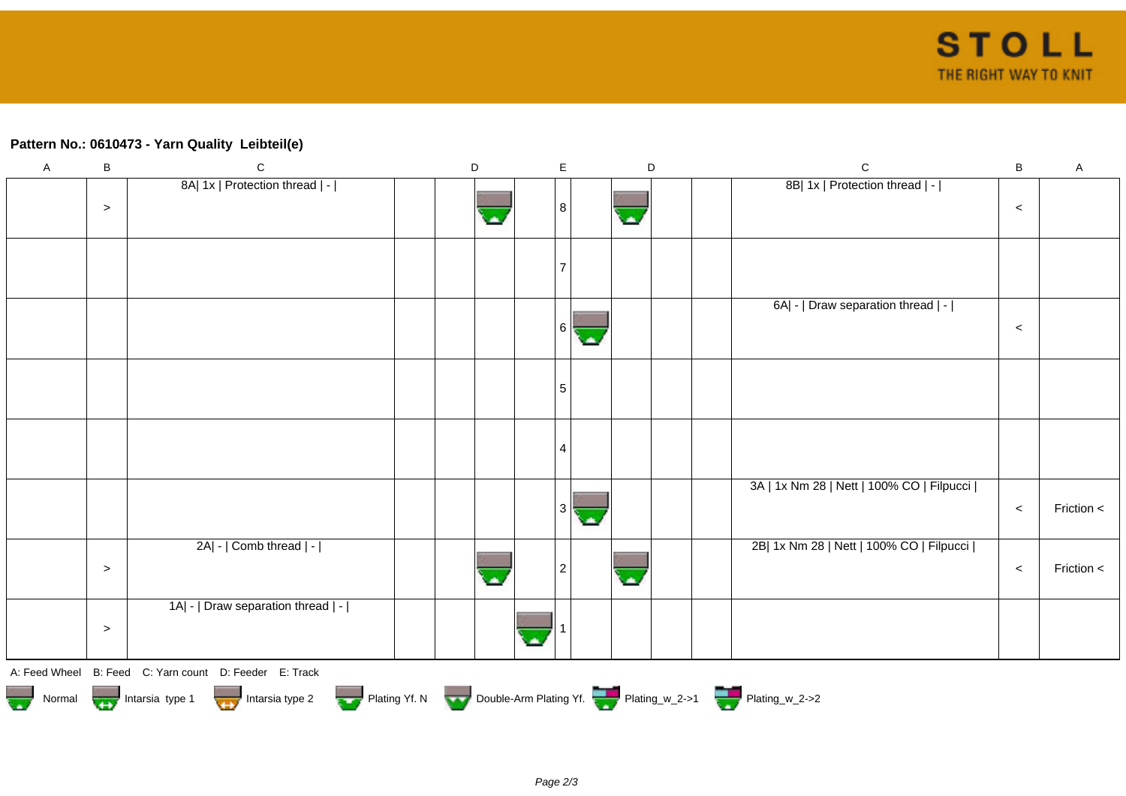## **Pattern No.: 0610473 - Yarn Quality Leibteil(e)**

| $\mathsf A$ | $\sf B$ | $\mathsf C$                                                                                | $\mathsf D$ |  | $\mathsf E$ | $\mathsf D$ |  | $\mathsf C$                               | $\sf B$ | $\mathsf A$ |
|-------------|---------|--------------------------------------------------------------------------------------------|-------------|--|-------------|-------------|--|-------------------------------------------|---------|-------------|
|             |         | 8A  1x   Protection thread   -                                                             |             |  |             |             |  | 8B  1x   Protection thread   -            |         |             |
|             | $\geq$  |                                                                                            |             |  | 8           |             |  |                                           | $\,<$   |             |
|             |         |                                                                                            |             |  |             |             |  |                                           |         |             |
|             |         |                                                                                            |             |  |             |             |  |                                           |         |             |
|             |         |                                                                                            |             |  |             |             |  |                                           |         |             |
|             |         |                                                                                            |             |  |             |             |  |                                           |         |             |
|             |         |                                                                                            |             |  |             |             |  |                                           |         |             |
|             |         |                                                                                            |             |  |             |             |  | 6A  -   Draw separation thread   -        |         |             |
|             |         |                                                                                            |             |  |             |             |  |                                           |         |             |
|             |         |                                                                                            |             |  | 6           |             |  |                                           | $\,<$   |             |
|             |         |                                                                                            |             |  |             |             |  |                                           |         |             |
|             |         |                                                                                            |             |  |             |             |  |                                           |         |             |
|             |         |                                                                                            |             |  | 5           |             |  |                                           |         |             |
|             |         |                                                                                            |             |  |             |             |  |                                           |         |             |
|             |         |                                                                                            |             |  |             |             |  |                                           |         |             |
|             |         |                                                                                            |             |  | 4           |             |  |                                           |         |             |
|             |         |                                                                                            |             |  |             |             |  |                                           |         |             |
|             |         |                                                                                            |             |  |             |             |  |                                           |         |             |
|             |         |                                                                                            |             |  |             |             |  | 3A   1x Nm 28   Nett   100% CO   Filpucci |         |             |
|             |         |                                                                                            |             |  | 3           |             |  |                                           | $\,<\,$ | Friction <  |
|             |         |                                                                                            |             |  |             |             |  |                                           |         |             |
|             |         | 2A  -   Comb thread   -                                                                    |             |  |             |             |  | 2B  1x Nm 28   Nett   100% CO   Filpucci  |         |             |
|             |         |                                                                                            |             |  |             |             |  |                                           |         |             |
|             | $\geq$  |                                                                                            |             |  | 2           |             |  |                                           | $\,<$   | Friction <  |
|             |         |                                                                                            |             |  |             |             |  |                                           |         |             |
|             |         | 1A  -   Draw separation thread   -                                                         |             |  |             |             |  |                                           |         |             |
|             | $\geq$  |                                                                                            |             |  |             |             |  |                                           |         |             |
|             |         |                                                                                            |             |  |             |             |  |                                           |         |             |
|             |         |                                                                                            |             |  |             |             |  |                                           |         |             |
|             |         | A: Feed Wheel B: Feed C: Yarn count D: Feeder E: Track                                     |             |  |             |             |  |                                           |         |             |
|             |         | Normal Intarsia type 1 Intarsia type 2 Plating Yf. N Double-Arm Plating Yf. Thating_w_2->1 |             |  |             |             |  |                                           |         |             |
|             |         |                                                                                            |             |  |             |             |  |                                           |         |             |